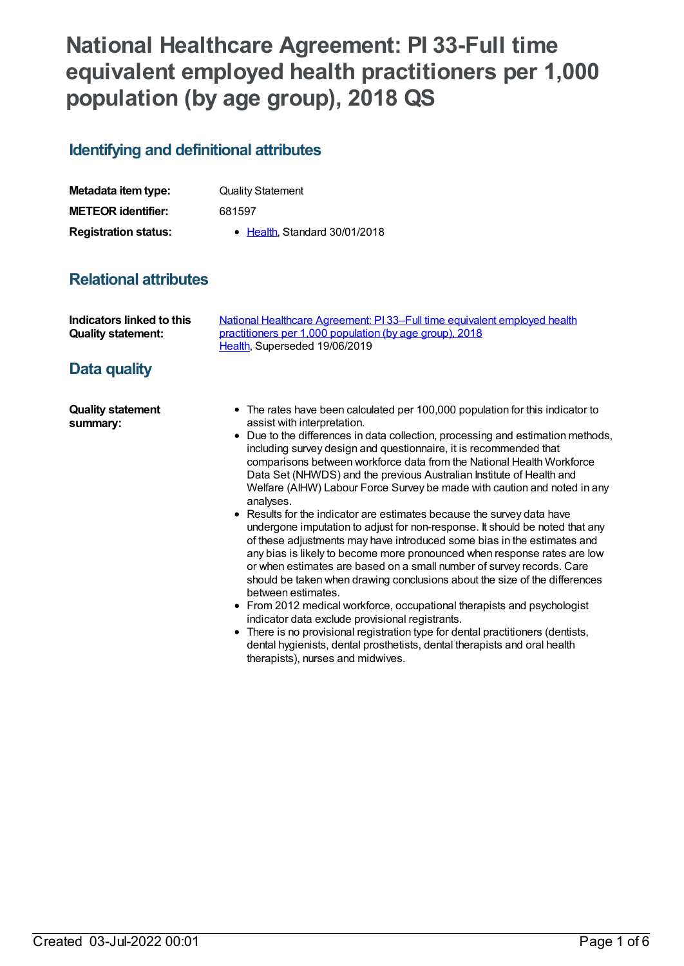# **National Healthcare Agreement: PI 33-Full time equivalent employed health practitioners per 1,000 population (by age group), 2018 QS**

### **Identifying and definitional attributes**

| Metadata item type:         | <b>Quality Statement</b>      |
|-----------------------------|-------------------------------|
| <b>METEOR identifier:</b>   | 681597                        |
| <b>Registration status:</b> | • Health, Standard 30/01/2018 |

## **Relational attributes**

| Indicators linked to this | National Healthcare Agreement: PI 33–Full time equivalent employed health |
|---------------------------|---------------------------------------------------------------------------|
| <b>Quality statement:</b> | practitioners per 1,000 population (by age group), 2018                   |
|                           | Health, Superseded 19/06/2019                                             |

### **Data quality**

**Quality statement summary:**

- The rates have been calculated per 100,000 population for this indicator to assist with interpretation.
- Due to the differences in data collection, processing and estimation methods, including survey design and questionnaire, it is recommended that comparisons between workforce data from the National Health Workforce Data Set (NHWDS) and the previous Australian Institute of Health and Welfare (AIHW) Labour Force Survey be made with caution and noted in any analyses.
- Results for the indicator are estimates because the survey data have undergone imputation to adjust for non-response. It should be noted that any of these adjustments may have introduced some bias in the estimates and any bias is likely to become more pronounced when response rates are low or when estimates are based on a small number of survey records. Care should be taken when drawing conclusions about the size of the differences between estimates.
- From 2012 medical workforce, occupational therapists and psychologist indicator data exclude provisional registrants.
- There is no provisional registration type for dental practitioners (dentists, dental hygienists, dental prosthetists, dental therapists and oral health therapists), nurses and midwives.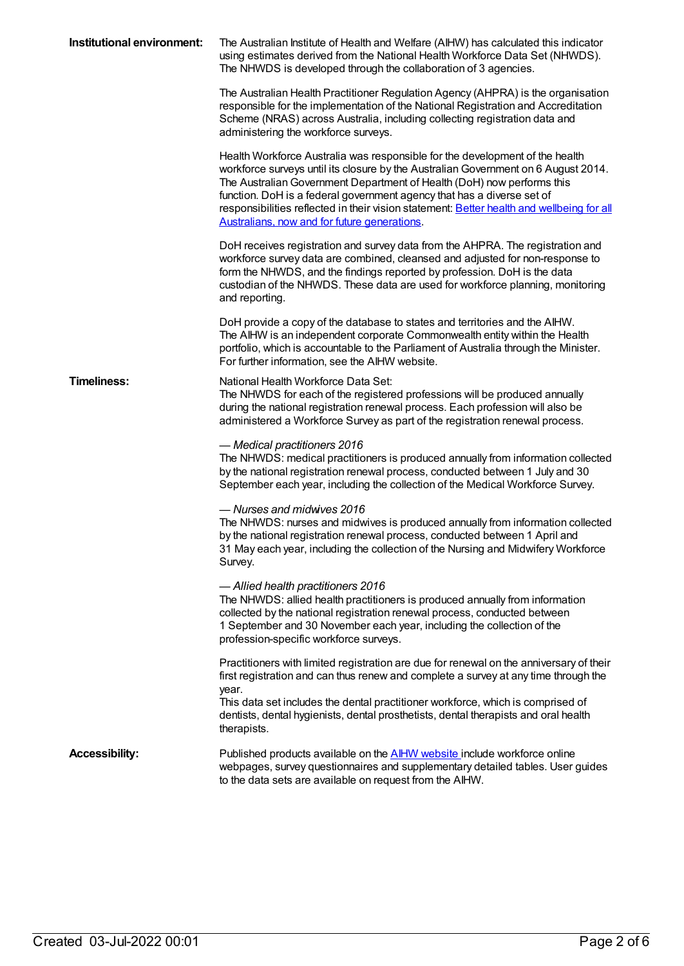| Institutional environment: | The Australian Institute of Health and Welfare (AIHW) has calculated this indicator<br>using estimates derived from the National Health Workforce Data Set (NHWDS).<br>The NHWDS is developed through the collaboration of 3 agencies.                                                                                                                                                                                                                              |
|----------------------------|---------------------------------------------------------------------------------------------------------------------------------------------------------------------------------------------------------------------------------------------------------------------------------------------------------------------------------------------------------------------------------------------------------------------------------------------------------------------|
|                            | The Australian Health Practitioner Regulation Agency (AHPRA) is the organisation<br>responsible for the implementation of the National Registration and Accreditation<br>Scheme (NRAS) across Australia, including collecting registration data and<br>administering the workforce surveys.                                                                                                                                                                         |
|                            | Health Workforce Australia was responsible for the development of the health<br>workforce surveys until its closure by the Australian Government on 6 August 2014.<br>The Australian Government Department of Health (DoH) now performs this<br>function. DoH is a federal government agency that has a diverse set of<br>responsibilities reflected in their vision statement: Better health and wellbeing for all<br>Australians, now and for future generations. |
|                            | DoH receives registration and survey data from the AHPRA. The registration and<br>workforce survey data are combined, cleansed and adjusted for non-response to<br>form the NHWDS, and the findings reported by profession. DoH is the data<br>custodian of the NHWDS. These data are used for workforce planning, monitoring<br>and reporting.                                                                                                                     |
|                            | DoH provide a copy of the database to states and territories and the AIHW.<br>The AIHW is an independent corporate Commonwealth entity within the Health<br>portfolio, which is accountable to the Parliament of Australia through the Minister.<br>For further information, see the AIHW website.                                                                                                                                                                  |
| <b>Timeliness:</b>         | National Health Workforce Data Set:<br>The NHWDS for each of the registered professions will be produced annually<br>during the national registration renewal process. Each profession will also be<br>administered a Workforce Survey as part of the registration renewal process.                                                                                                                                                                                 |
|                            | - Medical practitioners 2016<br>The NHWDS: medical practitioners is produced annually from information collected<br>by the national registration renewal process, conducted between 1 July and 30<br>September each year, including the collection of the Medical Workforce Survey.                                                                                                                                                                                 |
|                            | - Nurses and midwives 2016<br>The NHWDS: nurses and midwives is produced annually from information collected<br>by the national registration renewal process, conducted between 1 April and<br>31 May each year, including the collection of the Nursing and Midwifery Workforce<br>Survey.                                                                                                                                                                         |
|                            | - Allied health practitioners 2016<br>The NHWDS: allied health practitioners is produced annually from information<br>collected by the national registration renewal process, conducted between<br>1 September and 30 November each year, including the collection of the<br>profession-specific workforce surveys.                                                                                                                                                 |
|                            | Practitioners with limited registration are due for renewal on the anniversary of their<br>first registration and can thus renew and complete a survey at any time through the<br>year.<br>This data set includes the dental practitioner workforce, which is comprised of<br>dentists, dental hygienists, dental prosthetists, dental therapists and oral health<br>therapists.                                                                                    |
| <b>Accessibility:</b>      | Published products available on the <b>AIHW</b> website include workforce online<br>webpages, survey questionnaires and supplementary detailed tables. User guides<br>to the data sets are available on request from the AIHW.                                                                                                                                                                                                                                      |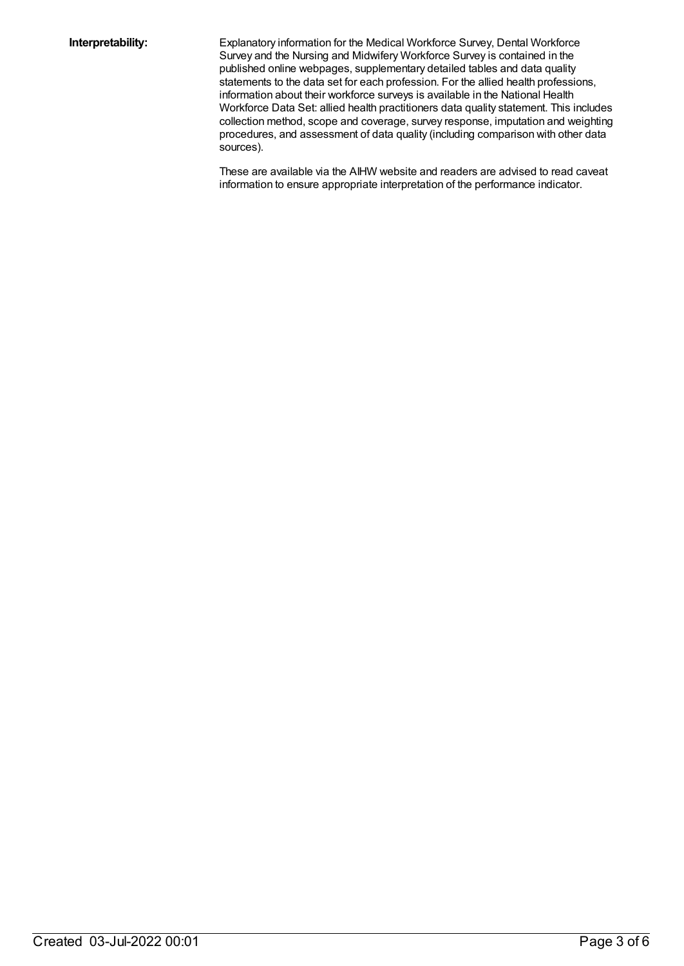**Interpretability:** Explanatory information for the Medical Workforce Survey, Dental Workforce Survey and the Nursing and Midwifery Workforce Survey is contained in the published online webpages, supplementary detailed tables and data quality statements to the data set for each profession. For the allied health professions, information about their workforce surveys is available in the National Health Workforce Data Set: allied health practitioners data quality statement. This includes collection method, scope and coverage, survey response, imputation and weighting procedures, and assessment of data quality (including comparison with other data sources).

> These are available via the AIHW website and readers are advised to read caveat information to ensure appropriate interpretation of the performance indicator.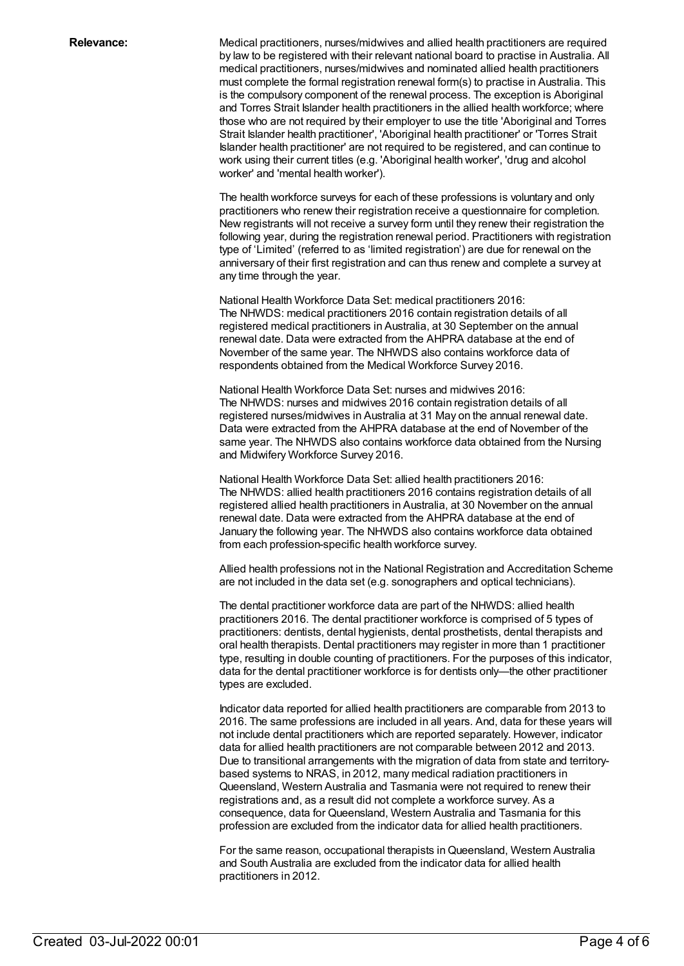**Relevance:** Medical practitioners, nurses/midwives and allied health practitioners are required by law to be registered with their relevant national board to practise in Australia. All medical practitioners, nurses/midwives and nominated allied health practitioners must complete the formal registration renewal form(s) to practise in Australia. This is the compulsory component of the renewal process. The exception is Aboriginal and Torres Strait Islander health practitioners in the allied health workforce; where those who are not required by their employer to use the title 'Aboriginal and Torres Strait Islander health practitioner', 'Aboriginal health practitioner' or 'Torres Strait Islander health practitioner' are not required to be registered, and can continue to work using their current titles (e.g. 'Aboriginal health worker', 'drug and alcohol worker' and 'mental health worker').

> The health workforce surveys for each of these professions is voluntary and only practitioners who renew their registration receive a questionnaire for completion. New registrants will not receive a survey form until they renew their registration the following year, during the registration renewal period. Practitioners with registration type of 'Limited' (referred to as 'limited registration') are due for renewal on the anniversary of their first registration and can thus renew and complete a survey at any time through the year.

National Health Workforce Data Set: medical practitioners 2016: The NHWDS: medical practitioners 2016 contain registration details of all registered medical practitioners in Australia, at 30 September on the annual renewal date. Data were extracted from the AHPRA database at the end of November of the same year. The NHWDS also contains workforce data of respondents obtained from the Medical Workforce Survey 2016.

National Health Workforce Data Set: nurses and midwives 2016: The NHWDS: nurses and midwives 2016 contain registration details of all registered nurses/midwives in Australia at 31 May on the annual renewal date. Data were extracted from the AHPRA database at the end of November of the same year. The NHWDS also contains workforce data obtained from the Nursing and Midwifery Workforce Survey 2016.

National Health Workforce Data Set: allied health practitioners 2016: The NHWDS: allied health practitioners 2016 contains registration details of all registered allied health practitioners in Australia, at 30 November on the annual renewal date. Data were extracted from the AHPRA database at the end of January the following year. The NHWDS also contains workforce data obtained from each profession-specific health workforce survey.

Allied health professions not in the National Registration and Accreditation Scheme are not included in the data set (e.g. sonographers and optical technicians).

The dental practitioner workforce data are part of the NHWDS: allied health practitioners 2016. The dental practitioner workforce is comprised of 5 types of practitioners: dentists, dental hygienists, dental prosthetists, dental therapists and oral health therapists. Dental practitioners may register in more than 1 practitioner type, resulting in double counting of practitioners. For the purposes of this indicator, data for the dental practitioner workforce is for dentists only—the other practitioner types are excluded.

Indicator data reported for allied health practitioners are comparable from 2013 to 2016. The same professions are included in all years. And, data for these years will not include dental practitioners which are reported separately. However, indicator data for allied health practitioners are not comparable between 2012 and 2013. Due to transitional arrangements with the migration of data from state and territorybased systems to NRAS, in 2012, many medical radiation practitioners in Queensland, Western Australia and Tasmania were not required to renew their registrations and, as a result did not complete a workforce survey. As a consequence, data for Queensland, Western Australia and Tasmania for this profession are excluded from the indicator data for allied health practitioners.

For the same reason, occupational therapists inQueensland, Western Australia and South Australia are excluded from the indicator data for allied health practitioners in 2012.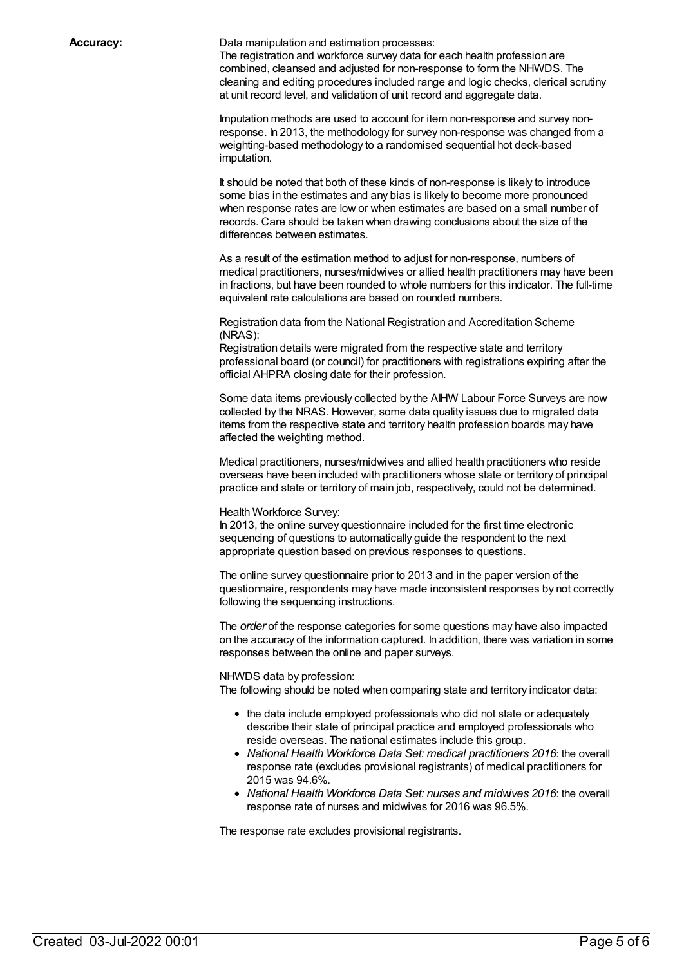**Accuracy:** Data manipulation and estimation processes:

The registration and workforce survey data for each health profession are combined, cleansed and adjusted for non-response to form the NHWDS. The cleaning and editing procedures included range and logic checks, clerical scrutiny at unit record level, and validation of unit record and aggregate data.

Imputation methods are used to account for item non-response and survey nonresponse. In 2013, the methodology for survey non-response was changed from a weighting-based methodology to a randomised sequential hot deck-based imputation.

It should be noted that both of these kinds of non-response is likely to introduce some bias in the estimates and any bias is likely to become more pronounced when response rates are low or when estimates are based on a small number of records. Care should be taken when drawing conclusions about the size of the differences between estimates.

As a result of the estimation method to adjust for non-response, numbers of medical practitioners, nurses/midwives or allied health practitioners may have been in fractions, but have been rounded to whole numbers for this indicator. The full-time equivalent rate calculations are based on rounded numbers.

Registration data from the National Registration and Accreditation Scheme (NRAS):

Registration details were migrated from the respective state and territory professional board (or council) for practitioners with registrations expiring after the official AHPRA closing date for their profession.

Some data items previously collected by the AIHW Labour Force Surveys are now collected by the NRAS. However, some data quality issues due to migrated data items from the respective state and territory health profession boards may have affected the weighting method.

Medical practitioners, nurses/midwives and allied health practitioners who reside overseas have been included with practitioners whose state or territory of principal practice and state or territory of main job, respectively, could not be determined.

#### Health Workforce Survey:

In 2013, the online survey questionnaire included for the first time electronic sequencing of questions to automatically guide the respondent to the next appropriate question based on previous responses to questions.

The online survey questionnaire prior to 2013 and in the paper version of the questionnaire, respondents may have made inconsistent responses by not correctly following the sequencing instructions.

The *order* of the response categories for some questions may have also impacted on the accuracy of the information captured. In addition, there was variation in some responses between the online and paper surveys.

#### NHWDS data by profession:

The following should be noted when comparing state and territory indicator data:

- the data include employed professionals who did not state or adequately describe their state of principal practice and employed professionals who reside overseas. The national estimates include this group.
- *National Health Workforce Data Set: medical practitioners 2016*: the overall response rate (excludes provisional registrants) of medical practitioners for 2015 was 94.6%.
- *National Health Workforce Data Set: nurses and midwives 2016*: the overall response rate of nurses and midwives for 2016 was 96.5%.

The response rate excludes provisional registrants.